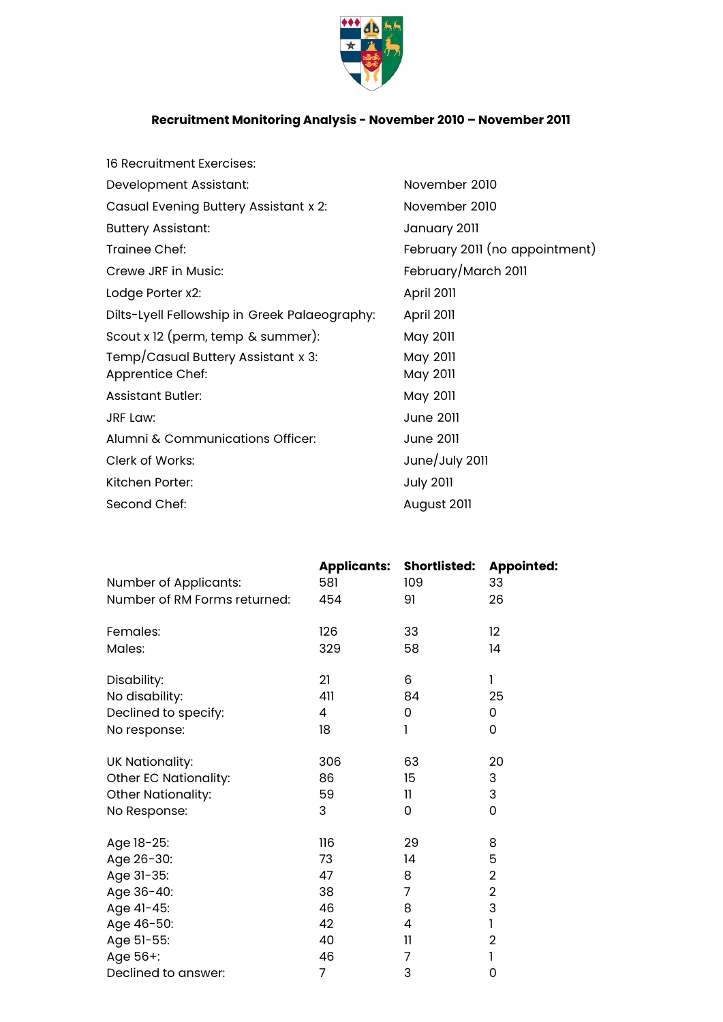

## **Recruitment Monitoring Analysis - November 2010 – November 2011**

| 16 Recruitment Exercises:                     |                                |
|-----------------------------------------------|--------------------------------|
| Development Assistant:                        | November 2010                  |
| Casual Evening Buttery Assistant x 2:         | November 2010                  |
| <b>Buttery Assistant:</b>                     | January 2011                   |
| Trainee Chef:                                 | February 2011 (no appointment) |
| Crewe JRF in Music:                           | February/March 2011            |
| Lodge Porter x2:                              | April 2011                     |
| Dilts-Lyell Fellowship in Greek Palaeography: | April 2011                     |
| Scout x 12 (perm, temp & summer):             | May 2011                       |
| Temp/Casual Buttery Assistant x 3:            | May 2011                       |
| Apprentice Chef:                              | May 2011                       |
| <b>Assistant Butler:</b>                      | May 2011                       |
| <b>JRF Law:</b>                               | <b>June 2011</b>               |
| Alumni & Communications Officer:              | <b>June 2011</b>               |
| Clerk of Works:                               | June/July 2011                 |
| Kitchen Porter:                               | <b>July 2011</b>               |
| Second Chef:                                  | August 2011                    |
|                                               |                                |

|                              |     | <b>Applicants: Shortlisted:</b> | <b>Appointed:</b> |
|------------------------------|-----|---------------------------------|-------------------|
| Number of Applicants:        | 581 | 109                             | 33                |
| Number of RM Forms returned: | 454 | 91                              | 26                |
| Females:                     | 126 | 33                              | 12                |
| Males:                       | 329 | 58                              | 14                |
| Disability:                  | 21  | 6                               | 1                 |
| No disability:               | 411 | 84                              | 25                |
| Declined to specify:         | 4   | 0                               | 0                 |
| No response:                 | 18  | 1                               | 0                 |
| UK Nationality:              | 306 | 63                              | 20                |
| Other EC Nationality:        | 86  | 15                              | 3                 |
| Other Nationality:           | 59  | 11                              | 3                 |
| No Response:                 | 3   | 0                               | 0                 |
| Age 18-25:                   | 116 | 29                              | 8                 |
| Age 26-30:                   | 73  | 14                              | 5                 |
| Age 31-35:                   | 47  | 8                               | $\overline{2}$    |
| Age 36-40:                   | 38  | 7                               | $\overline{2}$    |
| Age 41-45:                   | 46  | 8                               | 3                 |
| Age 46-50:                   | 42  | 4                               | 1                 |
| Age 51-55:                   | 40  | 11                              | $\overline{2}$    |
| Age 56+:                     | 46  | 7                               | 1                 |
| Declined to answer:          | 7   | 3                               | 0                 |